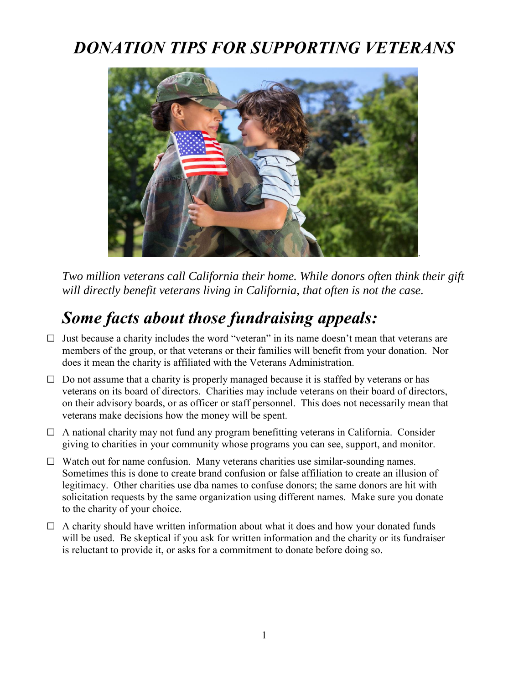### *DONATION TIPS FOR SUPPORTING VETERANS*



*Two million veterans call California their home. While donors often think their gift will directly benefit veterans living in California, that often is not the case.*

# *Some facts about those fundraising appeals:*

- $\Box$  Just because a charity includes the word "veteran" in its name doesn't mean that veterans are members of the group, or that veterans or their families will benefit from your donation. Nor does it mean the charity is affiliated with the Veterans Administration.
- $\Box$  Do not assume that a charity is properly managed because it is staffed by veterans or has veterans on its board of directors. Charities may include veterans on their board of directors, on their advisory boards, or as officer or staff personnel. This does not necessarily mean that veterans make decisions how the money will be spent.
- $\Box$  A national charity may not fund any program benefitting veterans in California. Consider giving to charities in your community whose programs you can see, support, and monitor.
- $\Box$  Watch out for name confusion. Many veterans charities use similar-sounding names. Sometimes this is done to create brand confusion or false affiliation to create an illusion of legitimacy. Other charities use dba names to confuse donors; the same donors are hit with solicitation requests by the same organization using different names. Make sure you donate to the charity of your choice.
- $\Box$  A charity should have written information about what it does and how your donated funds will be used. Be skeptical if you ask for written information and the charity or its fundraiser is reluctant to provide it, or asks for a commitment to donate before doing so.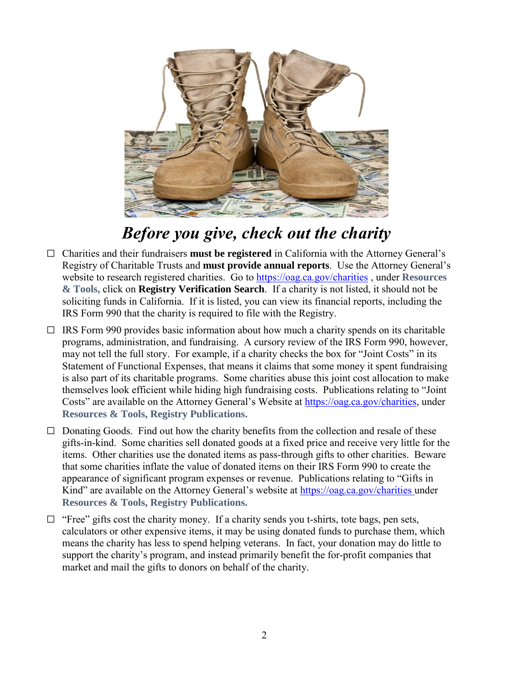

#### *Before you give, check out the charity*

- G Charities and their fundraisers **must be registered** in California with the Attorney General's Registry of Charitable Trusts and **must provide annual reports**. Use the Attorney General's website to research registered charities. Go to<https://oag.ca.gov/charities> , under **Resources & Tools,** click on **Registry Verification Search**. If a charity is not listed, it should not be soliciting funds in California. If it is listed, you can view its financial reports, including the IRS Form 990 that the charity is required to file with the Registry.
- $\Box$  IRS Form 990 provides basic information about how much a charity spends on its charitable programs, administration, and fundraising. A cursory review of the IRS Form 990, however, may not tell the full story. For example, if a charity checks the box for "Joint Costs" in its Statement of Functional Expenses, that means it claims that some money it spent fundraising is also part of its charitable programs. Some charities abuse this joint cost allocation to make themselves look efficient while hiding high fundraising costs. Publications relating to "Joint Costs" are available on the Attorney General's Website at [https://oag.ca.gov/charities,](https://oag.ca.gov/charities) under **Resources & Tools, Registry Publications.**
- $\Box$  Donating Goods. Find out how the charity benefits from the collection and resale of these gifts-in-kind. Some charities sell donated goods at a fixed price and receive very little for the items. Other charities use the donated items as pass-through gifts to other charities. Beware that some charities inflate the value of donated items on their IRS Form 990 to create the appearance of significant program expenses or revenue. Publications relating to "Gifts in Kind" are available on the Attorney General's website at<https://oag.ca.gov/charities> under **Resources & Tools, Registry Publications.**
- $\Box$  "Free" gifts cost the charity money. If a charity sends you t-shirts, tote bags, pen sets, calculators or other expensive items, it may be using donated funds to purchase them, which means the charity has less to spend helping veterans. In fact, your donation may do little to support the charity's program, and instead primarily benefit the for-profit companies that market and mail the gifts to donors on behalf of the charity.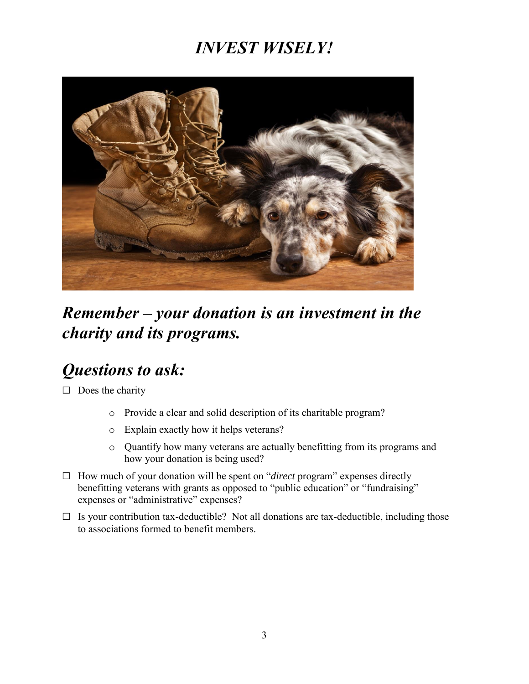## *INVEST WISELY!*



### *Remember – your donation is an investment in the charity and its programs.*

#### *Questions to ask:*

 $\Box$  Does the charity

- o Provide a clear and solid description of its charitable program?
- o Explain exactly how it helps veterans?
- o Quantify how many veterans are actually benefitting from its programs and how your donation is being used?
- G How much of your donation will be spent on "*direct* program" expenses directly benefitting veterans with grants as opposed to "public education" or "fundraising" expenses or "administrative" expenses?
- $\Box$  Is your contribution tax-deductible? Not all donations are tax-deductible, including those to associations formed to benefit members.